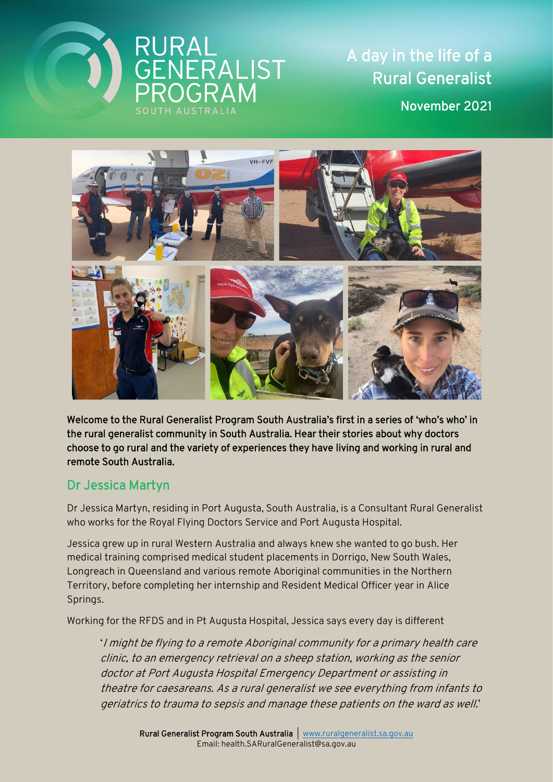

A day in the life of a Rural Generalist November 2021



Welcome to the Rural Generalist Program South Australia's first in a series of 'who's who' in the rural generalist community in South Australia. Hear their stories about why doctors choose to go rural and the variety of experiences they have living and working in rural and remote South Australia.

## Dr Jessica Martyn

Dr Jessica Martyn, residing in Port Augusta, South Australia, is a Consultant Rural Generalist who works for the Royal Flying Doctors Service and Port Augusta Hospital.

Jessica grew up in rural Western Australia and always knew she wanted to go bush. Her medical training comprised medical student placements in Dorrigo, New South Wales, Longreach in Queensland and various remote Aboriginal communities in the Northern Territory, before completing her internship and Resident Medical Officer year in Alice Springs.

Working for the RFDS and in Pt Augusta Hospital, Jessica says every day is different

'I might be flying to a remote Aboriginal community for a primary health care clinic, to an emergency retrieval on a sheep station, working as the senior doctor at Port Augusta Hospital Emergency Department or assisting in theatre for caesareans. As a rural generalist we see everything from infants to geriatrics to trauma to sepsis and manage these patients on the ward as well.'